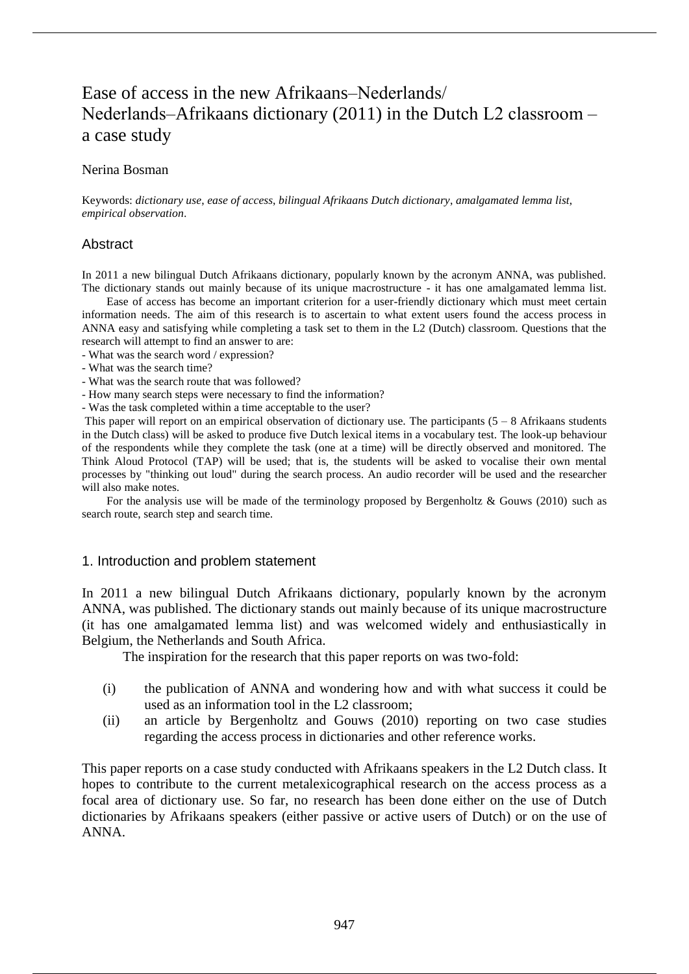# Ease of access in the new Afrikaans–Nederlands/ Nederlands–Afrikaans dictionary  $(2011)$  in the Dutch L2 classroom – a case study

#### Nerina Bosman

Keywords: *dictionary use*, *ease of access*, *bilingual Afrikaans Dutch dictionary*, *amalgamated lemma list*, *empirical observation*.

#### **Abstract**

In 2011 a new bilingual Dutch Afrikaans dictionary, popularly known by the acronym ANNA, was published. The dictionary stands out mainly because of its unique macrostructure - it has one amalgamated lemma list.

Ease of access has become an important criterion for a user-friendly dictionary which must meet certain information needs. The aim of this research is to ascertain to what extent users found the access process in ANNA easy and satisfying while completing a task set to them in the L2 (Dutch) classroom. Questions that the research will attempt to find an answer to are:

- What was the search word / expression?
- What was the search time?
- What was the search route that was followed?
- How many search steps were necessary to find the information?
- Was the task completed within a time acceptable to the user?

This paper will report on an empirical observation of dictionary use. The participants  $(5 - 8)$  Afrikaans students in the Dutch class) will be asked to produce five Dutch lexical items in a vocabulary test. The look-up behaviour of the respondents while they complete the task (one at a time) will be directly observed and monitored. The Think Aloud Protocol (TAP) will be used; that is, the students will be asked to vocalise their own mental processes by "thinking out loud" during the search process. An audio recorder will be used and the researcher will also make notes.

For the analysis use will be made of the terminology proposed by Bergenholtz  $\&$  Gouws (2010) such as search route, search step and search time.

#### 1. Introduction and problem statement

In 2011 a new bilingual Dutch Afrikaans dictionary, popularly known by the acronym ANNA, was published. The dictionary stands out mainly because of its unique macrostructure (it has one amalgamated lemma list) and was welcomed widely and enthusiastically in Belgium, the Netherlands and South Africa.

The inspiration for the research that this paper reports on was two-fold:

- (i) the publication of ANNA and wondering how and with what success it could be used as an information tool in the L2 classroom;
- (ii) an article by Bergenholtz and Gouws (2010) reporting on two case studies regarding the access process in dictionaries and other reference works.

This paper reports on a case study conducted with Afrikaans speakers in the L2 Dutch class. It hopes to contribute to the current metalexicographical research on the access process as a focal area of dictionary use. So far, no research has been done either on the use of Dutch dictionaries by Afrikaans speakers (either passive or active users of Dutch) or on the use of ANNA.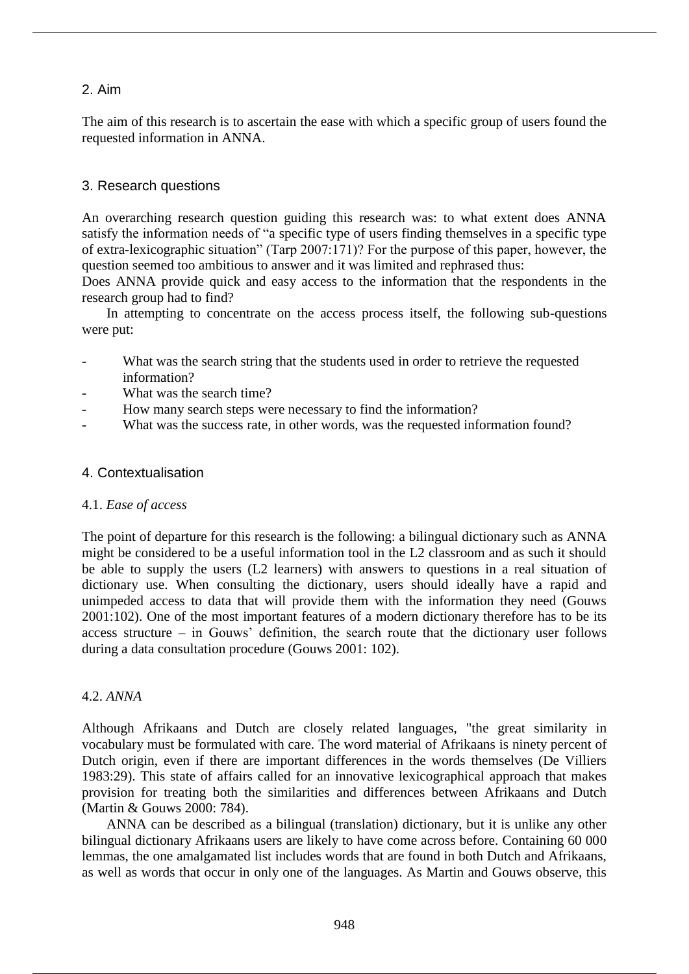### 2. Aim

The aim of this research is to ascertain the ease with which a specific group of users found the requested information in ANNA.

#### 3. Research questions

An overarching research question guiding this research was: to what extent does ANNA satisfy the information needs of "a specific type of users finding themselves in a specific type of extra-lexicographic situation" (Tarp 2007:171)? For the purpose of this paper, however, the question seemed too ambitious to answer and it was limited and rephrased thus:

Does ANNA provide quick and easy access to the information that the respondents in the research group had to find?

In attempting to concentrate on the access process itself, the following sub-questions were put:

- What was the search string that the students used in order to retrieve the requested information?
- What was the search time?
- How many search steps were necessary to find the information?
- What was the success rate, in other words, was the requested information found?

#### 4. Contextualisation

#### 4.1. *Ease of access*

The point of departure for this research is the following: a bilingual dictionary such as ANNA might be considered to be a useful information tool in the L2 classroom and as such it should be able to supply the users (L2 learners) with answers to questions in a real situation of dictionary use. When consulting the dictionary, users should ideally have a rapid and unimpeded access to data that will provide them with the information they need (Gouws 2001:102). One of the most important features of a modern dictionary therefore has to be its access structure – in Gouws' definition, the search route that the dictionary user follows during a data consultation procedure (Gouws 2001: 102).

#### 4.2. *ANNA*

Although Afrikaans and Dutch are closely related languages, "the great similarity in vocabulary must be formulated with care. The word material of Afrikaans is ninety percent of Dutch origin, even if there are important differences in the words themselves (De Villiers 1983:29). This state of affairs called for an innovative lexicographical approach that makes provision for treating both the similarities and differences between Afrikaans and Dutch (Martin & Gouws 2000: 784).

ANNA can be described as a bilingual (translation) dictionary, but it is unlike any other bilingual dictionary Afrikaans users are likely to have come across before. Containing 60 000 lemmas, the one amalgamated list includes words that are found in both Dutch and Afrikaans, as well as words that occur in only one of the languages. As Martin and Gouws observe, this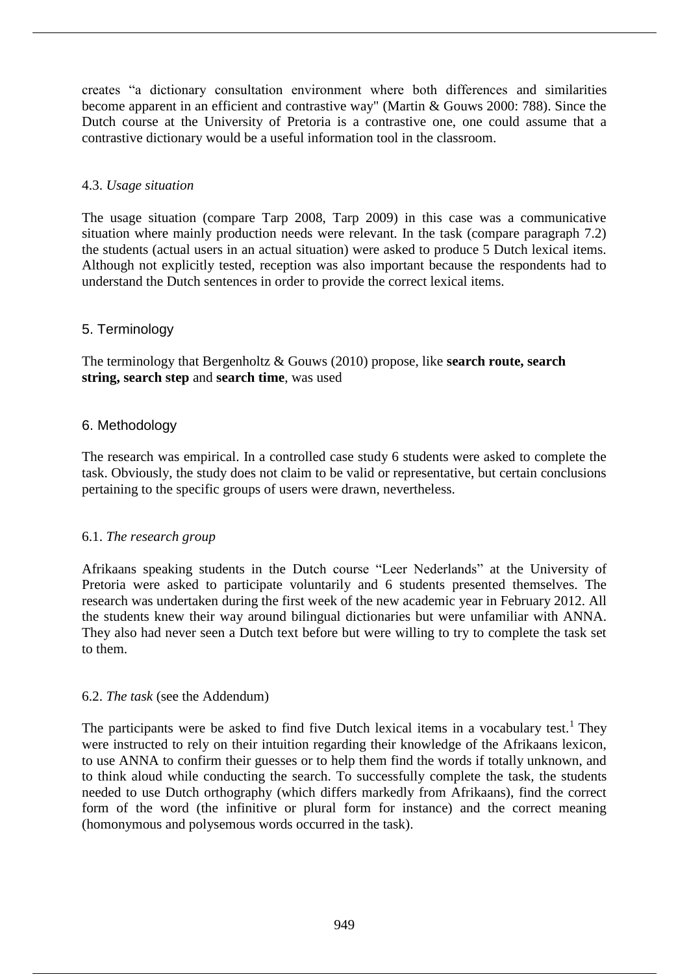creates "a dictionary consultation environment where both differences and similarities become apparent in an efficient and contrastive way" (Martin & Gouws 2000: 788). Since the Dutch course at the University of Pretoria is a contrastive one, one could assume that a contrastive dictionary would be a useful information tool in the classroom.

### 4.3. *Usage situation*

The usage situation (compare Tarp 2008, Tarp 2009) in this case was a communicative situation where mainly production needs were relevant. In the task (compare paragraph 7.2) the students (actual users in an actual situation) were asked to produce 5 Dutch lexical items. Although not explicitly tested, reception was also important because the respondents had to understand the Dutch sentences in order to provide the correct lexical items.

### 5. Terminology

The terminology that Bergenholtz & Gouws (2010) propose, like **search route, search string, search step** and **search time**, was used

### 6. Methodology

The research was empirical. In a controlled case study 6 students were asked to complete the task. Obviously, the study does not claim to be valid or representative, but certain conclusions pertaining to the specific groups of users were drawn, nevertheless.

### 6.1. *The research group*

Afrikaans speaking students in the Dutch course "Leer Nederlands" at the University of Pretoria were asked to participate voluntarily and 6 students presented themselves. The research was undertaken during the first week of the new academic year in February 2012. All the students knew their way around bilingual dictionaries but were unfamiliar with ANNA. They also had never seen a Dutch text before but were willing to try to complete the task set to them.

### 6.2. *The task* (see the Addendum)

The participants were be asked to find five Dutch lexical items in a vocabulary test.<sup>1</sup> They were instructed to rely on their intuition regarding their knowledge of the Afrikaans lexicon, to use ANNA to confirm their guesses or to help them find the words if totally unknown, and to think aloud while conducting the search. To successfully complete the task, the students needed to use Dutch orthography (which differs markedly from Afrikaans), find the correct form of the word (the infinitive or plural form for instance) and the correct meaning (homonymous and polysemous words occurred in the task).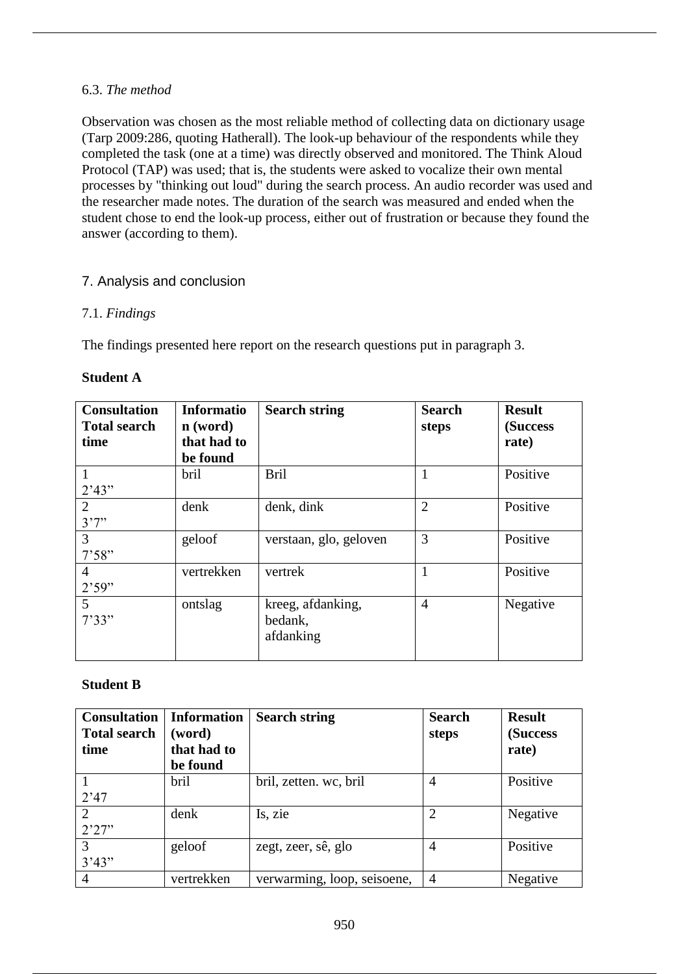#### 6.3. *The method*

Observation was chosen as the most reliable method of collecting data on dictionary usage (Tarp 2009:286, quoting Hatherall). The look-up behaviour of the respondents while they completed the task (one at a time) was directly observed and monitored. The Think Aloud Protocol (TAP) was used; that is, the students were asked to vocalize their own mental processes by "thinking out loud" during the search process. An audio recorder was used and the researcher made notes. The duration of the search was measured and ended when the student chose to end the look-up process, either out of frustration or because they found the answer (according to them).

### 7. Analysis and conclusion

### 7.1. *Findings*

The findings presented here report on the research questions put in paragraph 3.

| <b>Consultation</b><br><b>Total search</b><br>time | <b>Informatio</b><br>$\mathbf{n}$ (word)<br>that had to<br>be found | <b>Search string</b>                      | <b>Search</b><br>steps | <b>Result</b><br>(Success<br>rate) |
|----------------------------------------------------|---------------------------------------------------------------------|-------------------------------------------|------------------------|------------------------------------|
| 1<br>2'43"                                         | bril                                                                | <b>Bril</b>                               | 1                      | Positive                           |
| 2<br>3'7''                                         | denk                                                                | denk, dink                                | $\overline{2}$         | Positive                           |
| 3<br>7'58"                                         | geloof                                                              | verstaan, glo, geloven                    | 3                      | Positive                           |
| $\overline{4}$<br>2'59"                            | vertrekken                                                          | vertrek                                   | 1                      | Positive                           |
| $\overline{5}$<br>7'33"                            | ontslag                                                             | kreeg, afdanking,<br>bedank,<br>afdanking | $\overline{4}$         | Negative                           |

### **Student B**

| <b>Consultation</b><br><b>Total search</b><br>time | <b>Information</b><br>(word)<br>that had to<br>be found | <b>Search string</b>        | <b>Search</b><br>steps | <b>Result</b><br>(Success<br>rate) |
|----------------------------------------------------|---------------------------------------------------------|-----------------------------|------------------------|------------------------------------|
|                                                    | bril                                                    | bril, zetten. wc, bril      | $\overline{4}$         | Positive                           |
| 2'47                                               |                                                         |                             |                        |                                    |
| 2                                                  | denk                                                    | Is, zie                     | $\overline{2}$         | Negative                           |
| 2'27''                                             |                                                         |                             |                        |                                    |
| 3                                                  | geloof                                                  | zegt, zeer, sê, glo         | $\overline{4}$         | Positive                           |
| 3'43"                                              |                                                         |                             |                        |                                    |
| $\overline{4}$                                     | vertrekken                                              | verwarming, loop, seisoene, | $\overline{4}$         | Negative                           |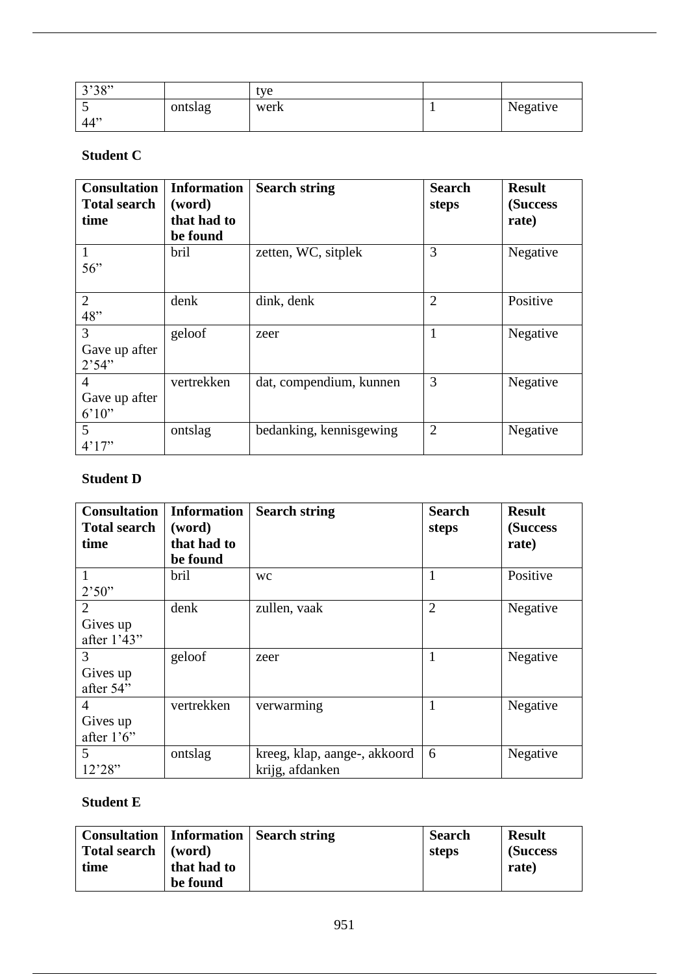| 3'38" |         | tve  |          |
|-------|---------|------|----------|
| ັ     | ontslag | werk | Negative |
| 44    |         |      |          |

## **Student C**

| <b>Consultation</b><br><b>Total search</b><br>time | <b>Information</b><br>(word)<br>that had to<br>be found | <b>Search string</b>    | <b>Search</b><br>steps | <b>Result</b><br>(Success<br>rate) |
|----------------------------------------------------|---------------------------------------------------------|-------------------------|------------------------|------------------------------------|
| $\mathbf{1}$<br>56"                                | bril                                                    | zetten, WC, sitplek     | 3                      | Negative                           |
| $\overline{2}$<br>48"                              | denk                                                    | dink, denk              | $\overline{2}$         | Positive                           |
| 3<br>Gave up after<br>2'54"                        | geloof                                                  | zeer                    | 1                      | Negative                           |
| 4<br>Gave up after<br>6'10''                       | vertrekken                                              | dat, compendium, kunnen | 3                      | Negative                           |
| 5<br>4'17''                                        | ontslag                                                 | bedanking, kennisgewing | $\overline{2}$         | Negative                           |

## **Student D**

| <b>Consultation</b> | <b>Information</b> | <b>Search string</b>         | <b>Search</b>  | <b>Result</b> |
|---------------------|--------------------|------------------------------|----------------|---------------|
| <b>Total search</b> | (word)             |                              | steps          | (Success      |
| time                | that had to        |                              |                | rate)         |
|                     | be found           |                              |                |               |
| 1                   | bril               | <b>WC</b>                    | $\mathbf{1}$   | Positive      |
| 2'50"               |                    |                              |                |               |
| 2                   | denk               | zullen, vaak                 | $\overline{2}$ | Negative      |
| Gives up            |                    |                              |                |               |
| after 1'43"         |                    |                              |                |               |
| 3                   | geloof             | zeer                         | 1              | Negative      |
| Gives up            |                    |                              |                |               |
| after 54"           |                    |                              |                |               |
| $\overline{4}$      | vertrekken         | verwarming                   | 1              | Negative      |
| Gives up            |                    |                              |                |               |
| after $1'6''$       |                    |                              |                |               |
| 5                   | ontslag            | kreeg, klap, aange-, akkoord | 6              | Negative      |
| 12'28"              |                    | krijg, afdanken              |                |               |

### **Student E**

| Consultation   Information |             | <b>Search string</b> | <b>Search</b> | <b>Result</b> |
|----------------------------|-------------|----------------------|---------------|---------------|
| Total search               | (word)      |                      | steps         | (Success)     |
| time                       | that had to |                      |               | rate)         |
|                            | be found    |                      |               |               |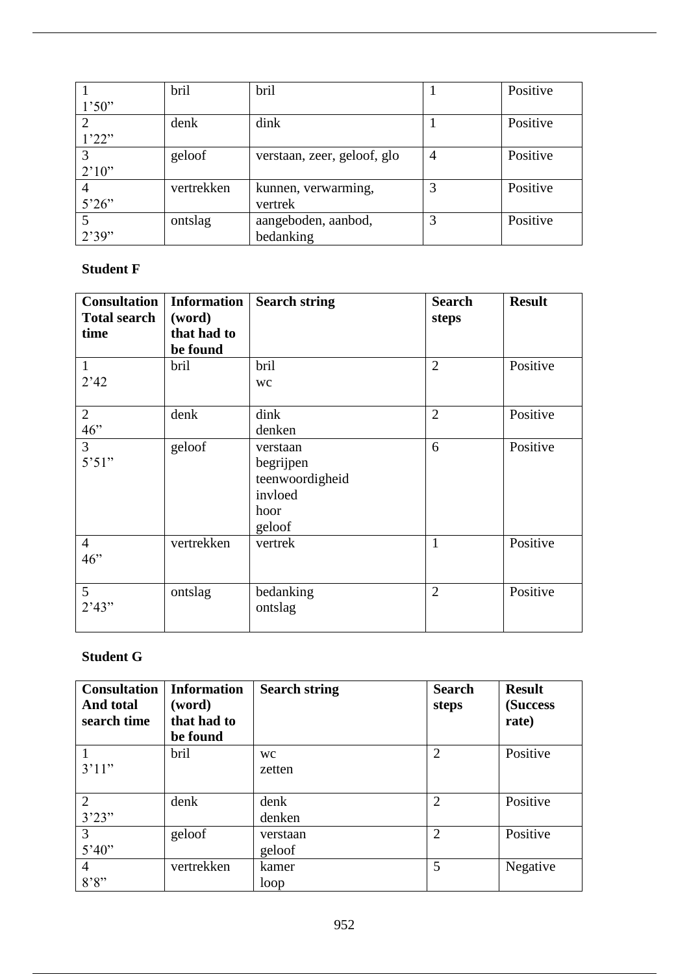|                | bril       | bril                        |                | Positive |
|----------------|------------|-----------------------------|----------------|----------|
| 1'50"          |            |                             |                |          |
| 2              | denk       | dink                        |                | Positive |
| 1'22"          |            |                             |                |          |
| 3              | geloof     | verstaan, zeer, geloof, glo | $\overline{4}$ | Positive |
| 2'10''         |            |                             |                |          |
| $\overline{4}$ | vertrekken | kunnen, verwarming,         | 3              | Positive |
| 5'26"          |            | vertrek                     |                |          |
| 5              | ontslag    | aangeboden, aanbod,         | 3              | Positive |
| 2'39"          |            | bedanking                   |                |          |

## **Student F**

| <b>Consultation</b><br><b>Total search</b><br>time | <b>Information</b><br>(word)<br>that had to<br>be found | <b>Search string</b>                                                  | <b>Search</b><br>steps | <b>Result</b> |
|----------------------------------------------------|---------------------------------------------------------|-----------------------------------------------------------------------|------------------------|---------------|
| $\mathbf{1}$<br>2'42                               | bril                                                    | bril<br><b>WC</b>                                                     | $\overline{2}$         | Positive      |
| $\overline{2}$<br>46"                              | denk                                                    | dink<br>denken                                                        | $\overline{2}$         | Positive      |
| $\overline{3}$<br>5'51"                            | geloof                                                  | verstaan<br>begrijpen<br>teenwoordigheid<br>invloed<br>hoor<br>geloof | 6                      | Positive      |
| $\overline{4}$<br>46"                              | vertrekken                                              | vertrek                                                               | 1                      | Positive      |
| $5\overline{)}$<br>2'43"                           | ontslag                                                 | bedanking<br>ontslag                                                  | $\overline{2}$         | Positive      |

## **Student G**

| <b>Consultation</b><br>And total<br>search time | <b>Information</b><br>(word)<br>that had to<br>be found | <b>Search string</b> | <b>Search</b><br>steps | <b>Result</b><br>(Success)<br>rate) |
|-------------------------------------------------|---------------------------------------------------------|----------------------|------------------------|-------------------------------------|
| 1<br>3'11"                                      | bril                                                    | <b>WC</b><br>zetten  | $\overline{2}$         | Positive                            |
| $\overline{2}$<br>3'23"                         | denk                                                    | denk<br>denken       | $\overline{2}$         | Positive                            |
| 3<br>5'40''                                     | geloof                                                  | verstaan<br>geloof   | $\overline{2}$         | Positive                            |
| $\overline{4}$<br>8'8''                         | vertrekken                                              | kamer<br>loop        | 5                      | Negative                            |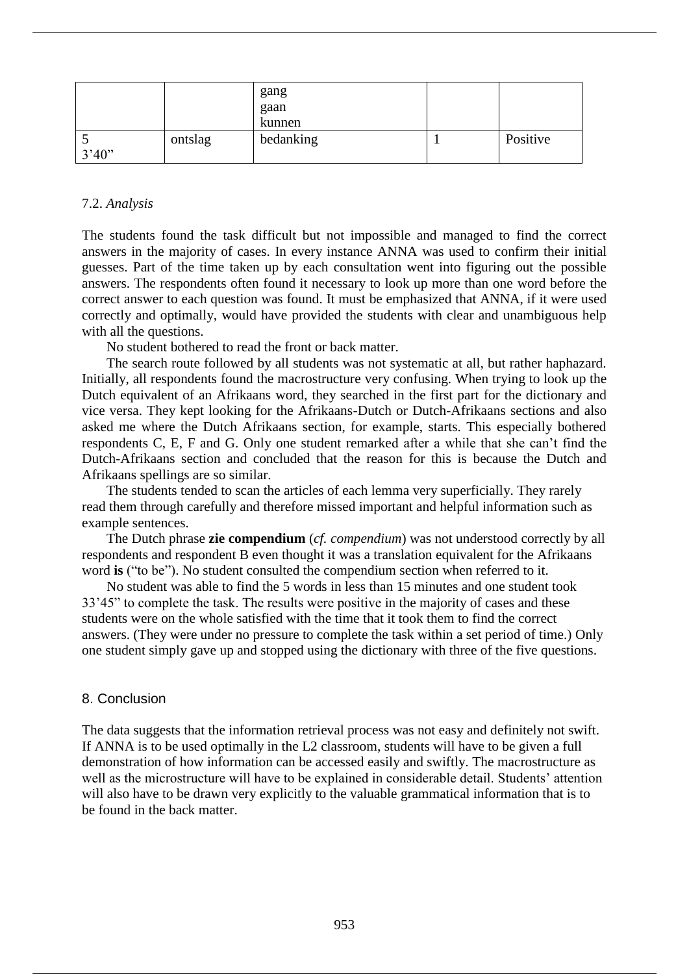|             |         | gang<br>gaan<br>kunnen |          |
|-------------|---------|------------------------|----------|
| ັ<br>3'40'' | ontslag | bedanking              | Positive |

#### 7.2. *Analysis*

The students found the task difficult but not impossible and managed to find the correct answers in the majority of cases. In every instance ANNA was used to confirm their initial guesses. Part of the time taken up by each consultation went into figuring out the possible answers. The respondents often found it necessary to look up more than one word before the correct answer to each question was found. It must be emphasized that ANNA, if it were used correctly and optimally, would have provided the students with clear and unambiguous help with all the questions.

No student bothered to read the front or back matter.

The search route followed by all students was not systematic at all, but rather haphazard. Initially, all respondents found the macrostructure very confusing. When trying to look up the Dutch equivalent of an Afrikaans word, they searched in the first part for the dictionary and vice versa. They kept looking for the Afrikaans-Dutch or Dutch-Afrikaans sections and also asked me where the Dutch Afrikaans section, for example, starts. This especially bothered respondents C, E, F and G. Only one student remarked after a while that she can't find the Dutch-Afrikaans section and concluded that the reason for this is because the Dutch and Afrikaans spellings are so similar.

The students tended to scan the articles of each lemma very superficially. They rarely read them through carefully and therefore missed important and helpful information such as example sentences.

The Dutch phrase **zie compendium** (*cf. compendium*) was not understood correctly by all respondents and respondent B even thought it was a translation equivalent for the Afrikaans word **is** ("to be"). No student consulted the compendium section when referred to it.

No student was able to find the 5 words in less than 15 minutes and one student took 33'45" to complete the task. The results were positive in the majority of cases and these students were on the whole satisfied with the time that it took them to find the correct answers. (They were under no pressure to complete the task within a set period of time.) Only one student simply gave up and stopped using the dictionary with three of the five questions.

#### 8. Conclusion

The data suggests that the information retrieval process was not easy and definitely not swift. If ANNA is to be used optimally in the L2 classroom, students will have to be given a full demonstration of how information can be accessed easily and swiftly. The macrostructure as well as the microstructure will have to be explained in considerable detail. Students' attention will also have to be drawn very explicitly to the valuable grammatical information that is to be found in the back matter.